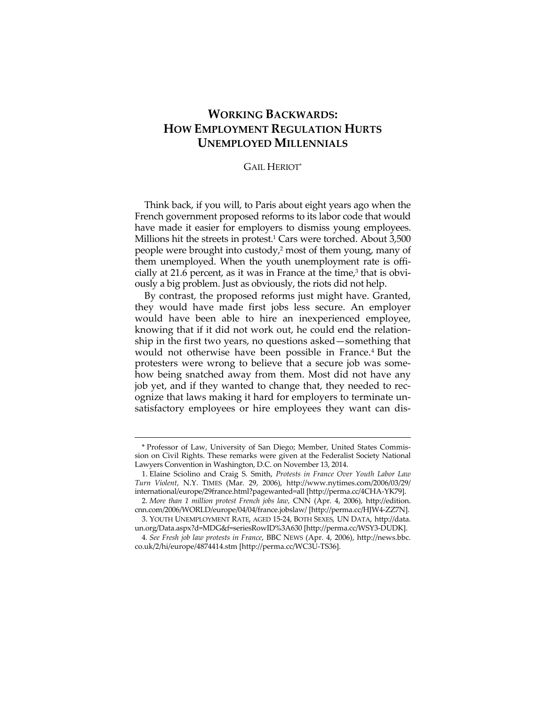## **WORKING BACKWARDS: HOW EMPLOYMENT REGULATION HURTS UNEMPLOYED MILLENNIALS**

## GAIL HERIOT\*

Think back, if you will, to Paris about eight years ago when the French government proposed reforms to its labor code that would have made it easier for employers to dismiss young employees. Millions hit the streets in protest.<sup>1</sup> Cars were torched. About 3,500 people were brought into custody,2 most of them young, many of them unemployed. When the youth unemployment rate is officially at 21.6 percent, as it was in France at the time, $3$  that is obviously a big problem. Just as obviously, the riots did not help.

By contrast, the proposed reforms just might have. Granted, they would have made first jobs less secure. An employer would have been able to hire an inexperienced employee, knowing that if it did not work out, he could end the relationship in the first two years, no questions asked—something that would not otherwise have been possible in France.4 But the protesters were wrong to believe that a secure job was somehow being snatched away from them. Most did not have any job yet, and if they wanted to change that, they needed to recognize that laws making it hard for employers to terminate unsatisfactory employees or hire employees they want can dis-

<u> 1989 - Johann Barn, mars ar breithinn ar chuid ann an t-Alban ann an t-Alban ann an t-Alban ann an t-Alban a</u>

<sup>\*</sup> Professor of Law, University of San Diego; Member, United States Commission on Civil Rights. These remarks were given at the Federalist Society National Lawyers Convention in Washington, D.C. on November 13, 2014.

 <sup>1.</sup> Elaine Sciolino and Craig S. Smith, *Protests in France Over Youth Labor Law Turn Violent*, N.Y. TIMES (Mar. 29, 2006), http://www.nytimes.com/2006/03/29/ international/europe/29france.html?pagewanted=all [http://perma.cc/4CHA-YK79].

<sup>2</sup>*. More than 1 million protest French jobs law*, CNN (Apr. 4, 2006), http://edition. cnn.com/2006/WORLD/europe/04/04/france.jobslaw/ [http://perma.cc/HJW4-ZZ7N].

 <sup>3.</sup> YOUTH UNEMPLOYMENT RATE, AGED 15-24, BOTH SEXES, UN DATA, http://data. un.org/Data.aspx?d=MDG&f=seriesRowID%3A630 [http://perma.cc/WSY3-DUDK].

<sup>4</sup>*. See Fresh job law protests in France*, BBC NEWS (Apr. 4, 2006), http://news.bbc. co.uk/2/hi/europe/4874414.stm [http://perma.cc/WC3U-TS36].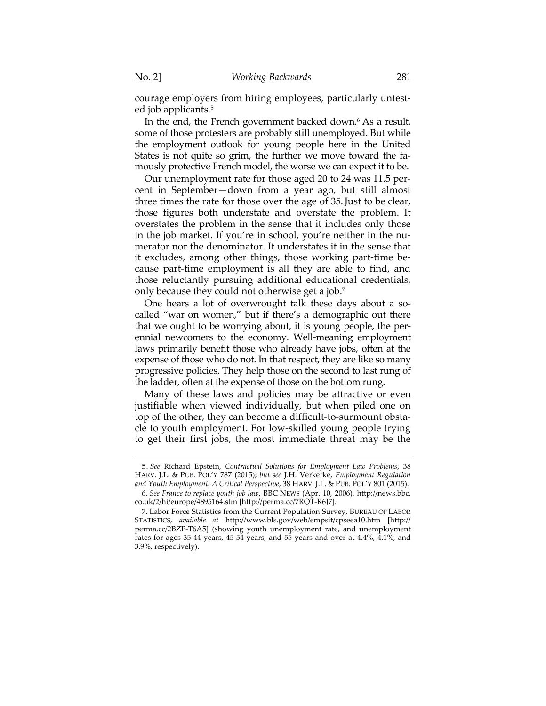courage employers from hiring employees, particularly untested job applicants.<sup>5</sup>

In the end, the French government backed down.<sup>6</sup> As a result, some of those protesters are probably still unemployed. But while the employment outlook for young people here in the United States is not quite so grim, the further we move toward the famously protective French model, the worse we can expect it to be.

Our unemployment rate for those aged 20 to 24 was 11.5 percent in September—down from a year ago, but still almost three times the rate for those over the age of 35.Just to be clear, those figures both understate and overstate the problem. It overstates the problem in the sense that it includes only those in the job market. If you're in school, you're neither in the numerator nor the denominator. It understates it in the sense that it excludes, among other things, those working part-time because part-time employment is all they are able to find, and those reluctantly pursuing additional educational credentials, only because they could not otherwise get a job.7

One hears a lot of overwrought talk these days about a socalled "war on women," but if there's a demographic out there that we ought to be worrying about, it is young people, the perennial newcomers to the economy. Well-meaning employment laws primarily benefit those who already have jobs, often at the expense of those who do not. In that respect, they are like so many progressive policies. They help those on the second to last rung of the ladder, often at the expense of those on the bottom rung.

Many of these laws and policies may be attractive or even justifiable when viewed individually, but when piled one on top of the other, they can become a difficult-to-surmount obstacle to youth employment. For low-skilled young people trying to get their first jobs, the most immediate threat may be the

<u> 1989 - Johann Stein, marwolaethau a bhann an t-Amhain an t-Amhain an t-Amhain an t-Amhain an t-Amhain an t-A</u>

 <sup>5.</sup> *See* Richard Epstein, *Contractual Solutions for Employment Law Problems*, 38 HARV. J.L. & PUB. POL'Y 787 (2015); *but see* J.H. Verkerke, *Employment Regulation and Youth Employment: A Critical Perspective*, 38 HARV. J.L. & PUB. POL'Y 801 (2015).

<sup>6</sup>*. See France to replace youth job law*, BBC NEWS (Apr. 10, 2006), http://news.bbc. co.uk/2/hi/europe/4895164.stm [http://perma.cc/7RQT-R6J7].

 <sup>7.</sup> Labor Force Statistics from the Current Population Survey, BUREAU OF LABOR STATISTICS, *available at* http://www.bls.gov/web/empsit/cpseea10.htm [http:// perma.cc/2BZP-T6A5] (showing youth unemployment rate, and unemployment rates for ages 35-44 years, 45-54 years, and 55 years and over at 4.4%, 4.1%, and 3.9%, respectively).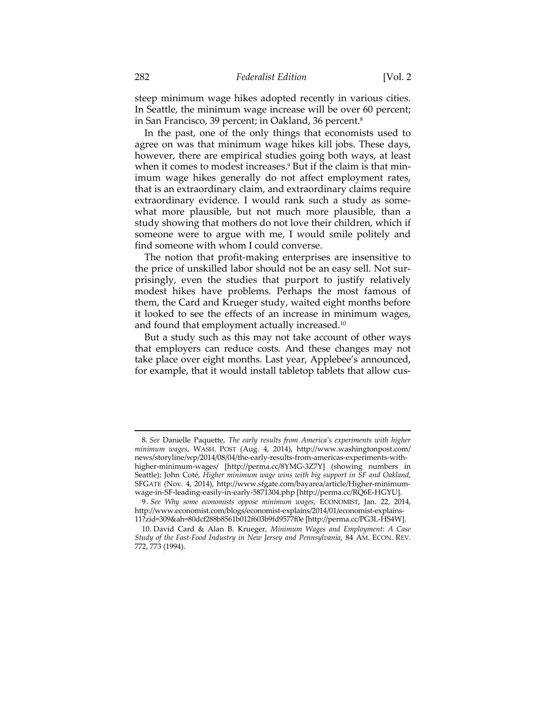steep minimum wage hikes adopted recently in various cities. In Seattle, the minimum wage increase will be over 60 percent; in San Francisco, 39 percent; in Oakland, 36 percent.8

In the past, one of the only things that economists used to agree on was that minimum wage hikes kill jobs. These days, however, there are empirical studies going both ways, at least when it comes to modest increases.<sup>9</sup> But if the claim is that minimum wage hikes generally do not affect employment rates, that is an extraordinary claim, and extraordinary claims require extraordinary evidence. I would rank such a study as somewhat more plausible, but not much more plausible, than a study showing that mothers do not love their children, which if someone were to argue with me, I would smile politely and find someone with whom I could converse.

The notion that profit-making enterprises are insensitive to the price of unskilled labor should not be an easy sell. Not surprisingly, even the studies that purport to justify relatively modest hikes have problems. Perhaps the most famous of them, the Card and Krueger study, waited eight months before it looked to see the effects of an increase in minimum wages, and found that employment actually increased.10

But a study such as this may not take account of other ways that employers can reduce costs. And these changes may not take place over eight months. Last year, Applebee's announced, for example, that it would install tabletop tablets that allow cus-

<u> 1989 - Johann Stein, marwolaethau a bhann an t-Amhain an t-Amhain an t-Amhain an t-Amhain an t-Amhain an t-A</u>

<sup>8</sup>*. See* Danielle Paquette, *The early results from America's experiments with higher minimum wages*, WASH. POST (Aug. 4, 2014), http://www.washingtonpost.com/ news/storyline/wp/2014/08/04/the-early-results-from-americas-experiments-withhigher-minimum-wages/ [http://perma.cc/8YMG-3Z7Y] (showing numbers in Seattle); John Coté, *Higher minimum wage wins with big support in SF and Oakland*, SFGATE (Nov. 4, 2014), http://www.sfgate.com/bayarea/article/Higher-minimumwage-in-SF-leading-easily-in-early-5871304.php [http://perma.cc/RQ6E-HGYU].

<sup>9</sup> *. See Why some economists oppose minimum wages*, ECONOMIST, Jan. 22, 2014, http://www.economist.com/blogs/economist-explains/2014/01/economist-explains-11?zid=309&ah=80dcf288b8561b012f603b9fd9577f0e [http://perma.cc/PG3L-HS4W].

 <sup>10.</sup> David Card & Alan B. Krueger, *Minimum Wages and Employment: A Case Study of the Fast-Food Industry in New Jersey and Pennsylvania*, 84 AM. ECON. REV. 772, 773 (1994).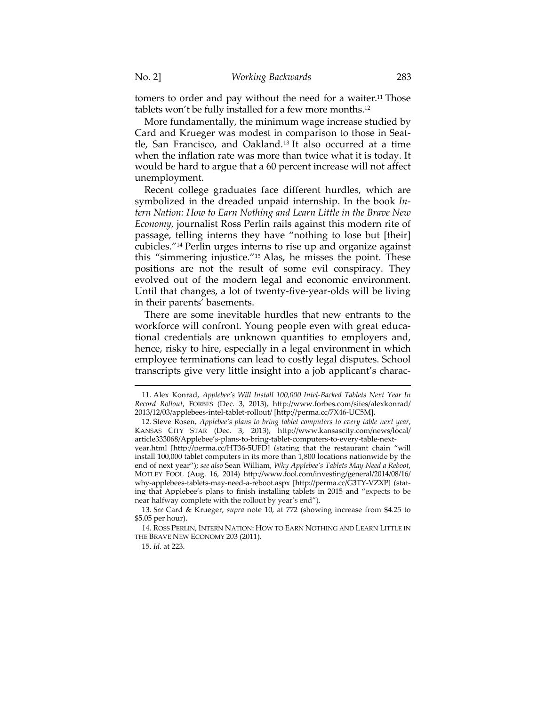tomers to order and pay without the need for a waiter.<sup>11</sup> Those tablets won't be fully installed for a few more months.12

More fundamentally, the minimum wage increase studied by Card and Krueger was modest in comparison to those in Seattle, San Francisco, and Oakland.13 It also occurred at a time when the inflation rate was more than twice what it is today. It would be hard to argue that a 60 percent increase will not affect unemployment.

Recent college graduates face different hurdles, which are symbolized in the dreaded unpaid internship. In the book *Intern Nation: How to Earn Nothing and Learn Little in the Brave New Economy*, journalist Ross Perlin rails against this modern rite of passage, telling interns they have "nothing to lose but [their] cubicles."14 Perlin urges interns to rise up and organize against this "simmering injustice."15 Alas, he misses the point. These positions are not the result of some evil conspiracy. They evolved out of the modern legal and economic environment. Until that changes, a lot of twenty-five-year-olds will be living in their parents' basements.

There are some inevitable hurdles that new entrants to the workforce will confront. Young people even with great educational credentials are unknown quantities to employers and, hence, risky to hire, especially in a legal environment in which employee terminations can lead to costly legal disputes. School transcripts give very little insight into a job applicant's charac-

<u> 1989 - Johann Stein, marwolaethau a bhann an t-Amhain an t-Amhain an t-Amhain an t-Amhain an t-Amhain an t-A</u>

 <sup>11.</sup> Alex Konrad, *Applebee's Will Install 100,000 Intel-Backed Tablets Next Year In Record Rollout*, FORBES (Dec. 3, 2013), http://www.forbes.com/sites/alexkonrad/ 2013/12/03/applebees-intel-tablet-rollout/ [http://perma.cc/7X46-UC5M].

<sup>12</sup>*.* Steve Rosen, *Applebee's plans to bring tablet computers to every table next year*, KANSAS CITY STAR (Dec. 3, 2013), http://www.kansascity.com/news/local/ article333068/Applebee's-plans-to-bring-tablet-computers-to-every-table-nextyear.html [http://perma.cc/HT36-5UFD] (stating that the restaurant chain "will install 100,000 tablet computers in its more than 1,800 locations nationwide by the end of next year"); *see also* Sean William, *Why Applebee's Tablets May Need a Reboot*, MOTLEY FOOL (Aug. 16, 2014) http://www.fool.com/investing/general/2014/08/16/ why-applebees-tablets-may-need-a-reboot.aspx [http://perma.cc/G3TY-VZXP] (stating that Applebee's plans to finish installing tablets in 2015 and "expects to be near halfway complete with the rollout by year's end").

 <sup>13.</sup> *See* Card & Krueger, *supra* note 10, at 772 (showing increase from \$4.25 to \$5.05 per hour).

 <sup>14.</sup> ROSS PERLIN, INTERN NATION: HOW TO EARN NOTHING AND LEARN LITTLE IN THE BRAVE NEW ECONOMY 203 (2011).

 <sup>15.</sup> *Id.* at 223.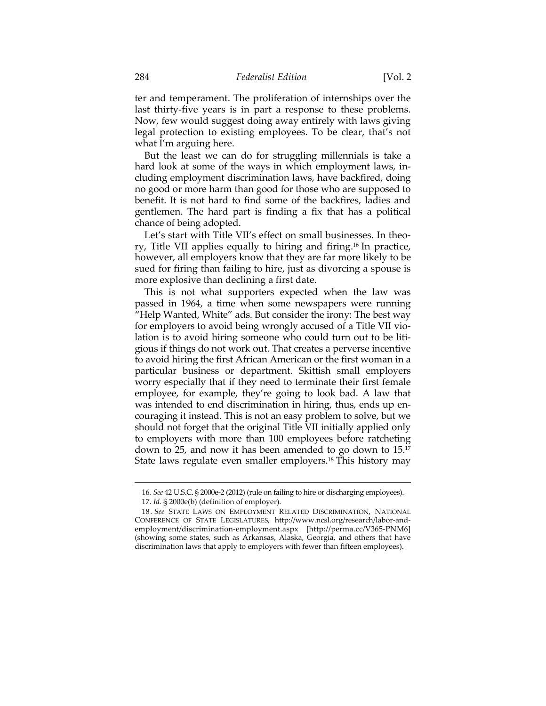ter and temperament. The proliferation of internships over the last thirty-five years is in part a response to these problems. Now, few would suggest doing away entirely with laws giving legal protection to existing employees. To be clear, that's not what I'm arguing here.

But the least we can do for struggling millennials is take a hard look at some of the ways in which employment laws, including employment discrimination laws, have backfired, doing no good or more harm than good for those who are supposed to benefit. It is not hard to find some of the backfires, ladies and gentlemen. The hard part is finding a fix that has a political chance of being adopted.

Let's start with Title VII's effect on small businesses. In theory, Title VII applies equally to hiring and firing.16 In practice, however, all employers know that they are far more likely to be sued for firing than failing to hire, just as divorcing a spouse is more explosive than declining a first date.

This is not what supporters expected when the law was passed in 1964, a time when some newspapers were running "Help Wanted, White" ads. But consider the irony: The best way for employers to avoid being wrongly accused of a Title VII violation is to avoid hiring someone who could turn out to be litigious if things do not work out. That creates a perverse incentive to avoid hiring the first African American or the first woman in a particular business or department. Skittish small employers worry especially that if they need to terminate their first female employee, for example, they're going to look bad. A law that was intended to end discrimination in hiring, thus, ends up encouraging it instead. This is not an easy problem to solve, but we should not forget that the original Title VII initially applied only to employers with more than 100 employees before ratcheting down to 25, and now it has been amended to go down to 15.17 State laws regulate even smaller employers.<sup>18</sup> This history may

<sup>&</sup>lt;u> 1989 - Johann Stein, marwolaethau a bhann an t-Amhain an t-Amhain an t-Amhain an t-Amhain an t-Amhain an t-A</u> 16*. See* 42 U.S.C. § 2000e-2 (2012) (rule on failing to hire or discharging employees). 17. *Id.* § 2000e(b) (definition of employer).

<sup>18</sup> *. See* STATE LAWS ON EMPLOYMENT RELATED DISCRIMINATION, NATIONAL CONFERENCE OF STATE LEGISLATURES, http://www.ncsl.org/research/labor-andemployment/discrimination-employment.aspx [http://perma.cc/V365-PNM6] (showing some states, such as Arkansas, Alaska, Georgia, and others that have discrimination laws that apply to employers with fewer than fifteen employees).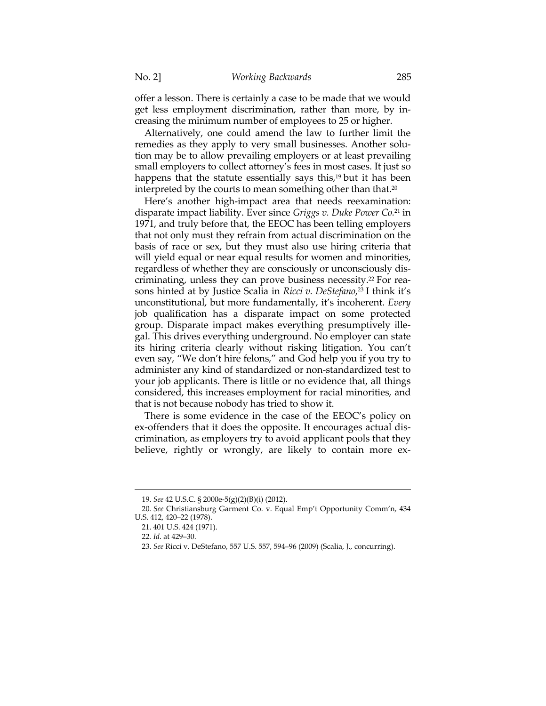offer a lesson. There is certainly a case to be made that we would get less employment discrimination, rather than more, by increasing the minimum number of employees to 25 or higher.

Alternatively, one could amend the law to further limit the remedies as they apply to very small businesses. Another solution may be to allow prevailing employers or at least prevailing small employers to collect attorney's fees in most cases. It just so happens that the statute essentially says this,<sup>19</sup> but it has been interpreted by the courts to mean something other than that.<sup>20</sup>

Here's another high-impact area that needs reexamination: disparate impact liability. Ever since *Griggs v. Duke Power Co.*21 in 1971, and truly before that, the EEOC has been telling employers that not only must they refrain from actual discrimination on the basis of race or sex, but they must also use hiring criteria that will yield equal or near equal results for women and minorities, regardless of whether they are consciously or unconsciously discriminating, unless they can prove business necessity.22 For reasons hinted at by Justice Scalia in *Ricci v. DeStefano*, 23 I think it's unconstitutional, but more fundamentally, it's incoherent. *Every* job qualification has a disparate impact on some protected group. Disparate impact makes everything presumptively illegal. This drives everything underground. No employer can state its hiring criteria clearly without risking litigation. You can't even say, "We don't hire felons," and God help you if you try to administer any kind of standardized or non-standardized test to your job applicants. There is little or no evidence that, all things considered, this increases employment for racial minorities, and that is not because nobody has tried to show it.

There is some evidence in the case of the EEOC's policy on ex-offenders that it does the opposite. It encourages actual discrimination, as employers try to avoid applicant pools that they believe, rightly or wrongly, are likely to contain more ex-

<u> 1989 - Johann Barn, mars ar breithinn ar chuid ann an t-Alban ann an t-Alban ann an t-Alban ann an t-Alban a</u>

 <sup>19.</sup> *See* 42 U.S.C. § 2000e-5(g)(2)(B)(i) (2012).

<sup>20</sup>*. See* Christiansburg Garment Co. v. Equal Emp't Opportunity Comm'n, 434 U.S. 412, 420–22 (1978).

 <sup>21. 401</sup> U.S. 424 (1971).

<sup>22</sup>*. Id*. at 429–30.

 <sup>23.</sup> *See* Ricci v. DeStefano, 557 U.S. 557, 594–96 (2009) (Scalia, J., concurring).